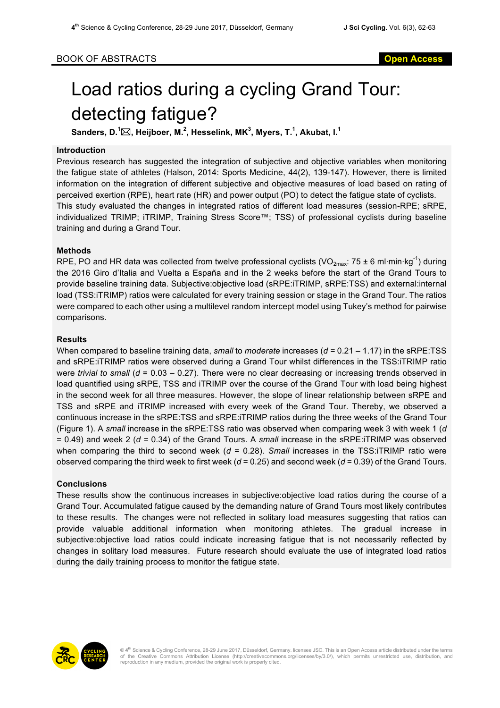# Load ratios during a cycling Grand Tour: detecting fatigue?

 ${\mathsf{S}}$ anders, D. $^1\!\boxtimes$ , Heijboer, M. $^2$ , Hesselink, MK $^3$ , Myers, T. $^1$ , Akubat, I. $^1$ 

### **Introduction**

Previous research has suggested the integration of subjective and objective variables when monitoring the fatigue state of athletes (Halson, 2014: Sports Medicine, 44(2), 139-147). However, there is limited information on the integration of different subjective and objective measures of load based on rating of perceived exertion (RPE), heart rate (HR) and power output (PO) to detect the fatigue state of cyclists. This study evaluated the changes in integrated ratios of different load measures (session-RPE; sRPE, individualized TRIMP; iTRIMP, Training Stress Score™; TSS) of professional cyclists during baseline training and during a Grand Tour.

# **Methods**

RPE, PO and HR data was collected from twelve professional cyclists (VO<sub>2max</sub>: 75 ± 6 ml⋅min⋅kg<sup>-1</sup>) during the 2016 Giro d'Italia and Vuelta a España and in the 2 weeks before the start of the Grand Tours to provide baseline training data. Subjective:objective load (sRPE:iTRIMP, sRPE:TSS) and external:internal load (TSS:iTRIMP) ratios were calculated for every training session or stage in the Grand Tour. The ratios were compared to each other using a multilevel random intercept model using Tukey's method for pairwise comparisons.

# **Results**

When compared to baseline training data, *small* to *moderate* increases (*d =* 0.21 – 1.17) in the sRPE:TSS and sRPE:iTRIMP ratios were observed during a Grand Tour whilst differences in the TSS:iTRIMP ratio were *trivial to small* (*d* = 0.03 – 0.27). There were no clear decreasing or increasing trends observed in load quantified using sRPE, TSS and iTRIMP over the course of the Grand Tour with load being highest in the second week for all three measures. However, the slope of linear relationship between sRPE and TSS and sRPE and iTRIMP increased with every week of the Grand Tour. Thereby, we observed a continuous increase in the sRPE:TSS and sRPE:iTRIMP ratios during the three weeks of the Grand Tour (Figure 1). A *small* increase in the sRPE:TSS ratio was observed when comparing week 3 with week 1 (*d*  = 0.49) and week 2 (*d =* 0.34) of the Grand Tours. A *small* increase in the sRPE:iTRIMP was observed when comparing the third to second week (*d* = 0.28). *Small* increases in the TSS:iTRIMP ratio were observed comparing the third week to first week (*d* = 0.25) and second week (*d* = 0.39) of the Grand Tours.

### **Conclusions**

These results show the continuous increases in subjective:objective load ratios during the course of a Grand Tour. Accumulated fatigue caused by the demanding nature of Grand Tours most likely contributes to these results. The changes were not reflected in solitary load measures suggesting that ratios can provide valuable additional information when monitoring athletes. The gradual increase in subjective:objective load ratios could indicate increasing fatigue that is not necessarily reflected by changes in solitary load measures. Future research should evaluate the use of integrated load ratios during the daily training process to monitor the fatigue state.